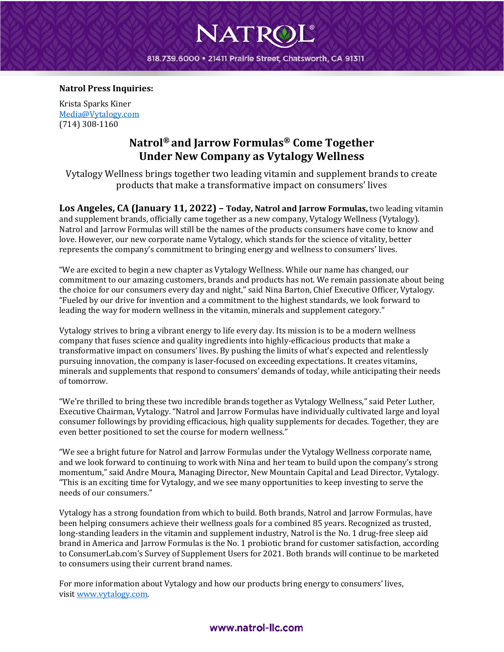## 818.739.6000 · 21411 Prairie Street, Chatsworth, CA 91311

**NATRO** 

### **Natrol Press Inquiries:**

Krista Sparks Kiner [Media@Vytalogy.com](mailto:Media@Vytalogy.com) (714) 308-1160

# **Natrol® and Jarrow Formulas® Come Together Under New Company as Vytalogy Wellness**

Vytalogy Wellness brings together two leading vitamin and supplement brands to create products that make a transformative impact on consumers' lives

**Los Angeles, CA (January 11, 2022) – Today, Natrol and Jarrow Formulas,** two leading vitamin and supplement brands, officially came together as a new company, Vytalogy Wellness (Vytalogy). Natrol and Jarrow Formulas will still be the names of the products consumers have come to know and love. However, our new corporate name Vytalogy, which stands for the science of vitality, better represents the company's commitment to bringing energy and wellness to consumers' lives.

"We are excited to begin a new chapter as Vytalogy Wellness. While our name has changed, our commitment to our amazing customers, brands and products has not. We remain passionate about being the choice for our consumers every day and night," said Nina Barton, Chief Executive Officer, Vytalogy. "Fueled by our drive for invention and a commitment to the highest standards, we look forward to leading the way for modern wellness in the vitamin, minerals and supplement category."

Vytalogy strives to bring a vibrant energy to life every day. Its mission is to be a modern wellness company that fuses science and quality ingredients into highly-efficacious products that make a transformative impact on consumers' lives. By pushing the limits of what's expected and relentlessly pursuing innovation, the company is laser-focused on exceeding expectations. It creates vitamins, minerals and supplements that respond to consumers' demands of today, while anticipating their needs of tomorrow.

"We're thrilled to bring these two incredible brands together as Vytalogy Wellness," said Peter Luther, Executive Chairman, Vytalogy. "Natrol and Jarrow Formulas have individually cultivated large and loyal consumer followings by providing efficacious, high quality supplements for decades. Together, they are even better positioned to set the course for modern wellness."

"We see a bright future for Natrol and Jarrow Formulas under the Vytalogy Wellness corporate name, and we look forward to continuing to work with Nina and her team to build upon the company's strong momentum," said Andre Moura, Managing Director, New Mountain Capital and Lead Director, Vytalogy. "This is an exciting time for Vytalogy, and we see many opportunities to keep investing to serve the needs of our consumers."

Vytalogy has a strong foundation from which to build. Both brands, Natrol and Jarrow Formulas, have been helping consumers achieve their wellness goals for a combined 85 years. Recognized as trusted, long-standing leaders in the vitamin and supplement industry, Natrol is the No. 1 drug-free sleep aid brand in America and Jarrow Formulas is the No. 1 probiotic brand for customer satisfaction, according to ConsumerLab.com's Survey of Supplement Users for 2021. Both brands will continue to be marketed to consumers using their current brand names.

For more information about Vytalogy and how our products bring energy to consumers' lives, visit [www.vytalogy.com.](https://www.vytalogy.com/) 

### www.natrol-llc.com